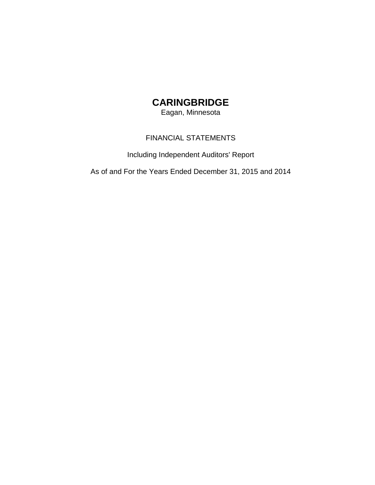Eagan, Minnesota

# FINANCIAL STATEMENTS

Including Independent Auditors' Report

As of and For the Years Ended December 31, 2015 and 2014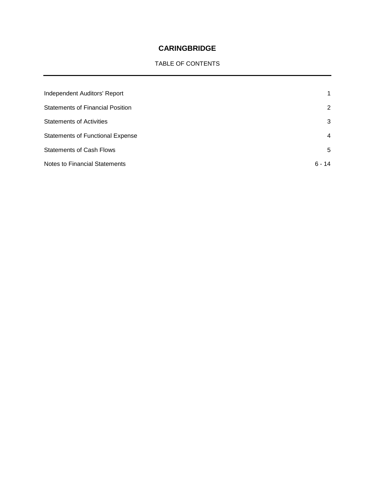### TABLE OF CONTENTS

| Independent Auditors' Report            | 1        |
|-----------------------------------------|----------|
| <b>Statements of Financial Position</b> | 2        |
| <b>Statements of Activities</b>         | 3        |
| <b>Statements of Functional Expense</b> | 4        |
| <b>Statements of Cash Flows</b>         | 5        |
| <b>Notes to Financial Statements</b>    | $6 - 14$ |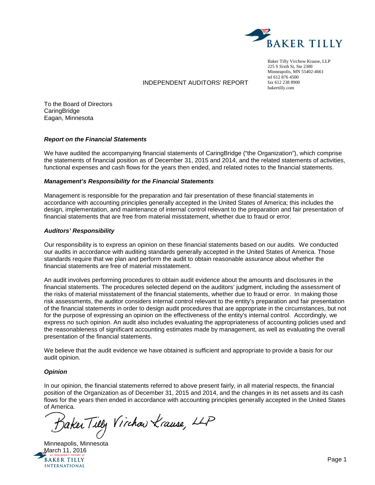

Baker Tilly Virchow Krause, LLP 225 S Sixth St, Ste 2300 Minneapolis, MN 55402-4661 tel 612 876 4500 fax 612 238 8900 bakertilly.com

### INDEPENDENT AUDITORS' REPORT

To the Board of Directors **CaringBridge** Eagan, Minnesota

### *Report on the Financial Statements*

We have audited the accompanying financial statements of CaringBridge ("the Organization"), which comprise the statements of financial position as of December 31, 2015 and 2014, and the related statements of activities, functional expenses and cash flows for the years then ended, and related notes to the financial statements.

### *Management's Responsibility for the Financial Statements*

Management is responsible for the preparation and fair presentation of these financial statements in accordance with accounting principles generally accepted in the United States of America; this includes the design, implementation, and maintenance of internal control relevant to the preparation and fair presentation of financial statements that are free from material misstatement, whether due to fraud or error.

### *Auditors' Responsibility*

Our responsibility is to express an opinion on these financial statements based on our audits. We conducted our audits in accordance with auditing standards generally accepted in the United States of America. Those standards require that we plan and perform the audit to obtain reasonable assurance about whether the financial statements are free of material misstatement.

An audit involves performing procedures to obtain audit evidence about the amounts and disclosures in the financial statements. The procedures selected depend on the auditors' judgment, including the assessment of the risks of material misstatement of the financial statements, whether due to fraud or error. In making those risk assessments, the auditor considers internal control relevant to the entity's preparation and fair presentation of the financial statements in order to design audit procedures that are appropriate in the circumstances, but not for the purpose of expressing an opinion on the effectiveness of the entity's internal control. Accordingly, we express no such opinion. An audit also includes evaluating the appropriateness of accounting policies used and the reasonableness of significant accounting estimates made by management, as well as evaluating the overall presentation of the financial statements.

We believe that the audit evidence we have obtained is sufficient and appropriate to provide a basis for our audit opinion.

### *Opinion*

In our opinion, the financial statements referred to above present fairly, in all material respects, the financial position of the Organization as of December 31, 2015 and 2014, and the changes in its net assets and its cash flows for the years then ended in accordance with accounting principles generally accepted in the United States of America.

BakerTilly Virchau Krause, LLP

Minneapolis, Minnesota March 11, 2016 **BAKER TILLY INTERNATIONAL**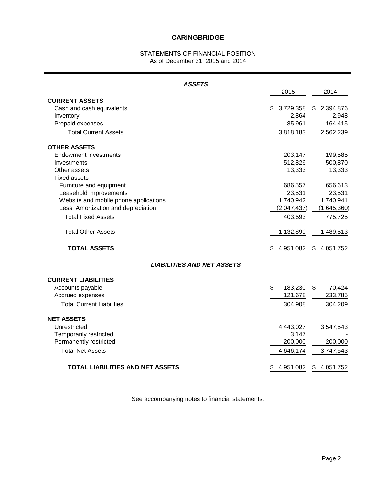### STATEMENTS OF FINANCIAL POSITION As of December 31, 2015 and 2014

| <b>ASSETS</b>                         |                 |                 |
|---------------------------------------|-----------------|-----------------|
|                                       | 2015            | 2014            |
| <b>CURRENT ASSETS</b>                 |                 |                 |
| Cash and cash equivalents             | 3,729,358<br>\$ | \$2,394,876     |
| Inventory                             | 2,864           | 2,948           |
| Prepaid expenses                      | 85,961          | 164,415         |
| <b>Total Current Assets</b>           | 3,818,183       | 2,562,239       |
| <b>OTHER ASSETS</b>                   |                 |                 |
| <b>Endowment investments</b>          | 203,147         | 199,585         |
| Investments                           | 512,826         | 500,870         |
| Other assets                          | 13,333          | 13,333          |
| <b>Fixed assets</b>                   |                 |                 |
| Furniture and equipment               | 686,557         | 656,613         |
| Leasehold improvements                | 23,531          | 23,531          |
| Website and mobile phone applications | 1,740,942       | 1,740,941       |
| Less: Amortization and depreciation   | (2,047,437)     | (1,645,360)     |
| <b>Total Fixed Assets</b>             | 403,593         | 775,725         |
| <b>Total Other Assets</b>             | 1,132,899       | 1,489,513       |
| <b>TOTAL ASSETS</b>                   | 4,951,082<br>\$ | \$<br>4,051,752 |
| <b>LIABILITIES AND NET ASSETS</b>     |                 |                 |
| <b>CURRENT LIABILITIES</b>            |                 |                 |
| Accounts payable                      | \$<br>183,230   | \$<br>70,424    |
| Accrued expenses                      | 121,678         | 233,785         |
| <b>Total Current Liabilities</b>      | 304,908         | 304,209         |
| <b>NET ASSETS</b>                     |                 |                 |
| Unrestricted                          | 4,443,027       | 3,547,543       |
| Temporarily restricted                | 3,147           |                 |
| Permanently restricted                | 200,000         | 200,000         |
| <b>Total Net Assets</b>               | 4,646,174       | 3,747,543       |
| TOTAL LIABILITIES AND NET ASSETS      | 4,951,082<br>\$ | \$<br>4,051,752 |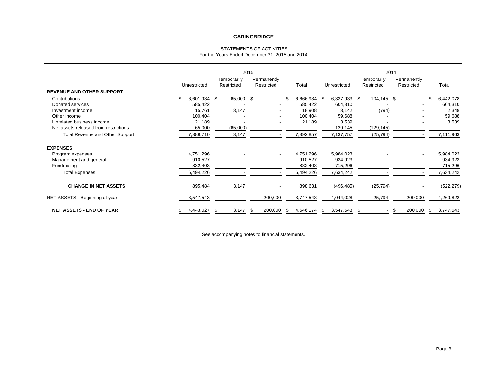#### STATEMENTS OF ACTIVITIES For the Years Ended December 31, 2015 and 2014

|                                        |                    |                           | 2015                      |              | 2014                |                           |                           |            |  |  |
|----------------------------------------|--------------------|---------------------------|---------------------------|--------------|---------------------|---------------------------|---------------------------|------------|--|--|
|                                        | Unrestricted       | Temporarily<br>Restricted | Permanently<br>Restricted | Total        | Unrestricted        | Temporarily<br>Restricted | Permanently<br>Restricted | Total      |  |  |
| <b>REVENUE AND OTHER SUPPORT</b>       |                    |                           |                           |              |                     |                           |                           |            |  |  |
| Contributions                          | 6,601,934 \$<br>\$ | 65,000 \$                 | \$<br>$\sim$              | 6,666,934 \$ | 6,337,933 \$        | 104,145 \$                | - \$                      | 6,442,078  |  |  |
| Donated services                       | 585,422            |                           |                           | 585,422      | 604,310             |                           |                           | 604,310    |  |  |
| Investment income                      | 15,761             | 3,147                     |                           | 18,908       | 3,142               | (794)                     |                           | 2,348      |  |  |
| Other income                           | 100,404            |                           |                           | 100,404      | 59,688              |                           | -                         | 59,688     |  |  |
| Unrelated business income              | 21,189             |                           |                           | 21,189       | 3,539               |                           |                           | 3,539      |  |  |
| Net assets released from restrictions  | 65,000             | (65,000)                  |                           |              | 129,145             | (129, 145)                |                           |            |  |  |
| <b>Total Revenue and Other Support</b> | 7,389,710          | 3,147                     |                           | 7,392,857    | 7,137,757           | (25, 794)                 |                           | 7,111,963  |  |  |
| <b>EXPENSES</b>                        |                    |                           |                           |              |                     |                           |                           |            |  |  |
| Program expenses                       | 4,751,296          |                           | ٠                         | 4,751,296    | 5,984,023           |                           |                           | 5,984,023  |  |  |
| Management and general                 | 910,527            |                           |                           | 910,527      | 934,923             |                           |                           | 934,923    |  |  |
| Fundraising                            | 832,403            |                           | $\overline{\phantom{a}}$  | 832,403      | 715,296             |                           | $\overline{\phantom{a}}$  | 715,296    |  |  |
| <b>Total Expenses</b>                  | 6,494,226          |                           |                           | 6,494,226    | 7,634,242           |                           |                           | 7,634,242  |  |  |
| <b>CHANGE IN NET ASSETS</b>            | 895,484            | 3,147                     |                           | 898,631      | (496, 485)          | (25, 794)                 |                           | (522, 279) |  |  |
| NET ASSETS - Beginning of year         | 3,547,543          |                           | 200,000                   | 3,747,543    | 4,044,028           | 25,794                    | 200,000                   | 4,269,822  |  |  |
| <b>NET ASSETS - END OF YEAR</b>        | 4,443,027<br>S     | 3,147<br>-\$              | - \$<br>200,000<br>-\$    | 4,646,174    | 3,547,543 \$<br>\$. |                           | \$<br>200,000<br>\$       | 3,747,543  |  |  |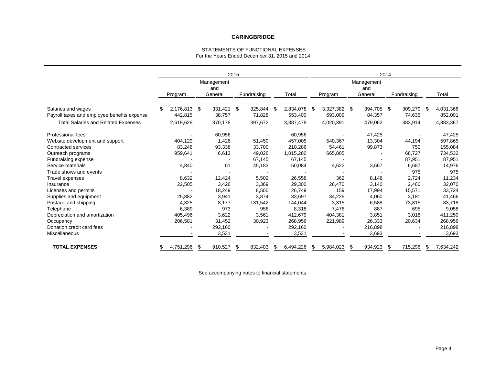### For the Years Ended December 31, 2015 and 2014 STATEMENTS OF FUNCTIONAL EXPENSES

|                                             | 2015         |    |            |      |             |    | 2014      |   |            |      |            |   |             |      |           |
|---------------------------------------------|--------------|----|------------|------|-------------|----|-----------|---|------------|------|------------|---|-------------|------|-----------|
|                                             |              |    | Management |      |             |    |           |   | Management |      |            |   |             |      |           |
|                                             |              |    | and        |      |             |    |           |   |            |      | and        |   |             |      |           |
|                                             | Program      |    | General    |      | Fundraising |    | Total     |   | Program    |      | General    |   | Fundraising |      | Total     |
| Salaries and wages                          | 2,176,813 \$ |    | 331,421    | - \$ | 325,844     | \$ | 2,834,078 | S | 3,327,382  | - \$ | 394,705 \$ |   | 309,279     | - \$ | 4,031,366 |
| Payroll taxes and employee benefits expense | 442,815      |    | 38,757     |      | 71,828      |    | 553,400   |   | 693,009    |      | 84,357     |   | 74,635      |      | 852,001   |
| <b>Total Salaries and Related Expenses</b>  | 2,619,628    |    | 370,178    |      | 397,672     |    | 3,387,478 |   | 4,020,391  |      | 479,062    |   | 383,914     |      | 4,883,367 |
| Professional fees                           |              |    | 60,956     |      |             |    | 60,956    |   |            |      | 47,425     |   |             |      | 47,425    |
| Website development and support             | 404,129      |    | 1,426      |      | 51,450      |    | 457,005   |   | 540,367    |      | 13,304     |   | 44,194      |      | 597,865   |
| Contracted services                         | 83,248       |    | 93,338     |      | 33,700      |    | 210,286   |   | 54,461     |      | 99,873     |   | 750         |      | 155,084   |
| Outreach programs                           | 959,641      |    | 6,613      |      | 49,026      |    | 1,015,280 |   | 665,805    |      |            |   | 68,727      |      | 734,532   |
| Fundraising expense                         |              |    |            |      | 67,145      |    | 67,145    |   |            |      |            |   | 87,951      |      | 87,951    |
| Service materials                           | 4,840        |    | 61         |      | 45,183      |    | 50,084    |   | 4,622      |      | 3,667      |   | 6,687       |      | 14,976    |
| Trade shows and events                      |              |    |            |      |             |    |           |   |            |      |            |   | 975         |      | 975       |
| Travel expenses                             | 8,632        |    | 12,424     |      | 5,502       |    | 26,558    |   | 362        |      | 8,148      |   | 2,724       |      | 11,234    |
| Insurance                                   | 22,505       |    | 3,426      |      | 3,369       |    | 29,300    |   | 26,470     |      | 3,140      |   | 2,460       |      | 32,070    |
| Licenses and permits                        |              |    | 18,249     |      | 8,500       |    | 26,749    |   | 159        |      | 17,994     |   | 15,571      |      | 33,724    |
| Supplies and equipment                      | 25,882       |    | 3,941      |      | 3.874       |    | 33,697    |   | 34,225     |      | 4,060      |   | 3.181       |      | 41,466    |
| Postage and shipping                        | 4,325        |    | 8.177      |      | 131,542     |    | 144,044   |   | 3,315      |      | 6,588      |   | 73,815      |      | 83,718    |
| Telephone                                   | 6,389        |    | 973        |      | 956         |    | 8,318     |   | 7,476      |      | 887        |   | 695         |      | 9,058     |
| Depreciation and amortization               | 405,496      |    | 3,622      |      | 3,561       |    | 412,679   |   | 404,381    |      | 3,851      |   | 3,018       |      | 411,250   |
| Occupancy                                   | 206,581      |    | 31,452     |      | 30,923      |    | 268,956   |   | 221,989    |      | 26,333     |   | 20,634      |      | 268,956   |
| Donation credit card fees                   |              |    | 292,160    |      |             |    | 292,160   |   |            |      | 216,898    |   |             |      | 216,898   |
| <b>Miscellaneous</b>                        |              |    | 3,531      |      |             |    | 3,531     |   |            |      | 3,693      |   |             |      | 3,693     |
| <b>TOTAL EXPENSES</b>                       | 4,751,296    | \$ | 910,527    | \$   | 832,403     | \$ | 6,494,226 | S | 5,984,023  | \$   | 934,923    | S | 715,296     | S    | 7,634,242 |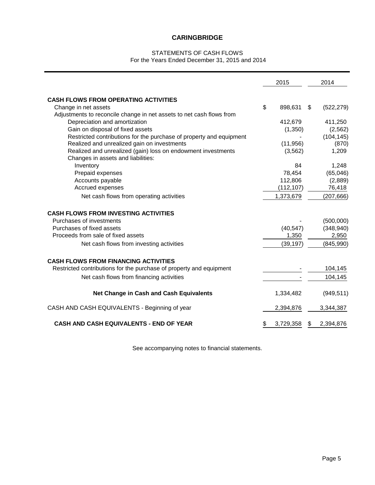# STATEMENTS OF CASH FLOWS

For the Years Ended December 31, 2015 and 2014

|                                                                      | 2015            | 2014 |            |  |
|----------------------------------------------------------------------|-----------------|------|------------|--|
| <b>CASH FLOWS FROM OPERATING ACTIVITIES</b>                          |                 |      |            |  |
| Change in net assets                                                 | \$<br>898,631   | \$   | (522, 279) |  |
| Adjustments to reconcile change in net assets to net cash flows from |                 |      |            |  |
| Depreciation and amortization                                        | 412,679         |      | 411,250    |  |
| Gain on disposal of fixed assets                                     | (1,350)         |      | (2, 562)   |  |
| Restricted contributions for the purchase of property and equipment  |                 |      | (104, 145) |  |
| Realized and unrealized gain on investments                          | (11, 956)       |      | (870)      |  |
| Realized and unrealized (gain) loss on endowment investments         | (3, 562)        |      | 1,209      |  |
| Changes in assets and liabilities:                                   |                 |      |            |  |
| Inventory                                                            | 84              |      | 1,248      |  |
| Prepaid expenses                                                     | 78,454          |      | (65, 046)  |  |
| Accounts payable                                                     | 112,806         |      | (2,889)    |  |
| Accrued expenses                                                     | (112, 107)      |      | 76,418     |  |
| Net cash flows from operating activities                             | 1,373,679       |      | (207, 666) |  |
| <b>CASH FLOWS FROM INVESTING ACTIVITIES</b>                          |                 |      |            |  |
| Purchases of investments                                             |                 |      | (500,000)  |  |
| Purchases of fixed assets                                            | (40, 547)       |      | (348, 940) |  |
| Proceeds from sale of fixed assets                                   | 1,350           |      | 2,950      |  |
| Net cash flows from investing activities                             | (39, 197)       |      | (845,990)  |  |
| <b>CASH FLOWS FROM FINANCING ACTIVITIES</b>                          |                 |      |            |  |
| Restricted contributions for the purchase of property and equipment  |                 |      | 104,145    |  |
| Net cash flows from financing activities                             |                 |      | 104,145    |  |
| Net Change in Cash and Cash Equivalents                              | 1,334,482       |      | (949, 511) |  |
| CASH AND CASH EQUIVALENTS - Beginning of year                        | 2,394,876       |      | 3,344,387  |  |
| CASH AND CASH EQUIVALENTS - END OF YEAR                              | \$<br>3,729,358 | S    | 2,394,876  |  |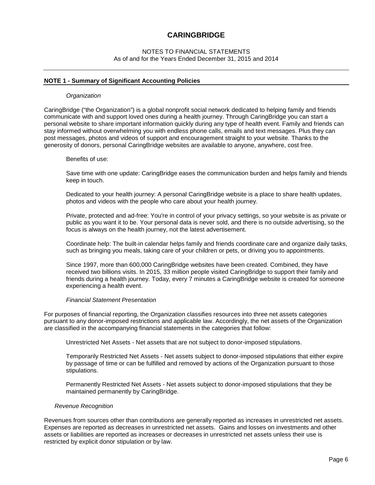### NOTES TO FINANCIAL STATEMENTS As of and for the Years Ended December 31, 2015 and 2014

### **NOTE 1 - Summary of Significant Accounting Policies**

#### *Organization*

CaringBridge ("the Organization") is a global nonprofit social network dedicated to helping family and friends communicate with and support loved ones during a health journey. Through CaringBridge you can start a personal website to share important information quickly during any type of health event. Family and friends can stay informed without overwhelming you with endless phone calls, emails and text messages. Plus they can post messages, photos and videos of support and encouragement straight to your website. Thanks to the generosity of donors, personal CaringBridge websites are available to anyone, anywhere, cost free.

### Benefits of use:

Save time with one update: CaringBridge eases the communication burden and helps family and friends keep in touch.

Dedicated to your health journey: A personal CaringBridge website is a place to share health updates, photos and videos with the people who care about your health journey.

Private, protected and ad-free: You're in control of your privacy settings, so your website is as private or public as you want it to be. Your personal data is never sold, and there is no outside advertising, so the focus is always on the health journey, not the latest advertisement.

Coordinate help: The built-in calendar helps family and friends coordinate care and organize daily tasks, such as bringing you meals, taking care of your children or pets, or driving you to appointments.

Since 1997, more than 600,000 CaringBridge websites have been created. Combined, they have received two billions visits. In 2015, 33 million people visited CaringBridge to support their family and friends during a health journey. Today, every 7 minutes a CaringBridge website is created for someone experiencing a health event.

### *Financial Statement Presentation*

For purposes of financial reporting, the Organization classifies resources into three net assets categories pursuant to any donor-imposed restrictions and applicable law. Accordingly, the net assets of the Organization are classified in the accompanying financial statements in the categories that follow:

Unrestricted Net Assets - Net assets that are not subject to donor-imposed stipulations.

Temporarily Restricted Net Assets - Net assets subject to donor-imposed stipulations that either expire by passage of time or can be fulfilled and removed by actions of the Organization pursuant to those stipulations.

Permanently Restricted Net Assets - Net assets subject to donor-imposed stipulations that they be maintained permanently by CaringBridge.

### *Revenue Recognition*

Revenues from sources other than contributions are generally reported as increases in unrestricted net assets. Expenses are reported as decreases in unrestricted net assets. Gains and losses on investments and other assets or liabilities are reported as increases or decreases in unrestricted net assets unless their use is restricted by explicit donor stipulation or by law.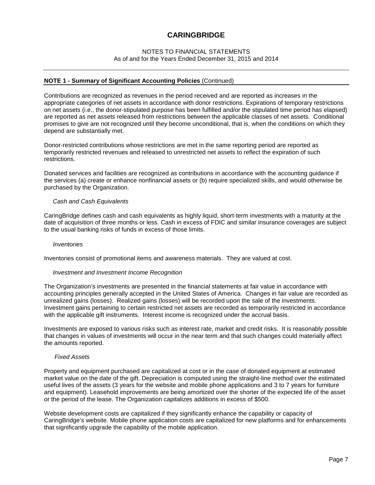### NOTES TO FINANCIAL STATEMENTS As of and for the Years Ended December 31, 2015 and 2014

### **NOTE 1 - Summary of Significant Accounting Policies** (Continued)

Contributions are recognized as revenues in the period received and are reported as increases in the appropriate categories of net assets in accordance with donor restrictions. Expirations of temporary restrictions on net assets (i.e., the donor-stipulated purpose has been fulfilled and/or the stipulated time period has elapsed) are reported as net assets released from restrictions between the applicable classes of net assets. Conditional promises to give are not recognized until they become unconditional, that is, when the conditions on which they depend are substantially met.

Donor-restricted contributions whose restrictions are met in the same reporting period are reported as temporarily restricted revenues and released to unrestricted net assets to reflect the expiration of such restrictions.

Donated services and facilities are recognized as contributions in accordance with the accounting guidance if the services (a) create or enhance nonfinancial assets or (b) require specialized skills, and would otherwise be purchased by the Organization.

### *Cash and Cash Equivalents*

CaringBridge defines cash and cash equivalents as highly liquid, short-term investments with a maturity at the date of acquisition of three months or less. Cash in excess of FDIC and similar insurance coverages are subject to the usual banking risks of funds in excess of those limits.

### *Inventories*

Inventories consist of promotional items and awareness materials. They are valued at cost.

### *Investment and Investment Income Recognition*

The Organization's investments are presented in the financial statements at fair value in accordance with accounting principles generally accepted in the United States of America. Changes in fair value are recorded as unrealized gains (losses). Realized gains (losses) will be recorded upon the sale of the investments. Investment gains pertaining to certain restricted net assets are recorded as temporarily restricted in accordance with the applicable gift instruments. Interest income is recognized under the accrual basis.

Investments are exposed to various risks such as interest rate, market and credit risks. It is reasonably possible that changes in values of investments will occur in the near term and that such changes could materially affect the amounts reported.

### *Fixed Assets*

Property and equipment purchased are capitalized at cost or in the case of donated equipment at estimated market value on the date of the gift. Depreciation is computed using the straight-line method over the estimated useful lives of the assets (3 years for the website and mobile phone applications and 3 to 7 years for furniture and equipment). Leasehold improvements are being amortized over the shorter of the expected life of the asset or the period of the lease. The Organization capitalizes additions in excess of \$500.

Website development costs are capitalized if they significantly enhance the capability or capacity of CaringBridge's website. Mobile phone application costs are capitalized for new platforms and for enhancements that significantly upgrade the capability of the mobile application.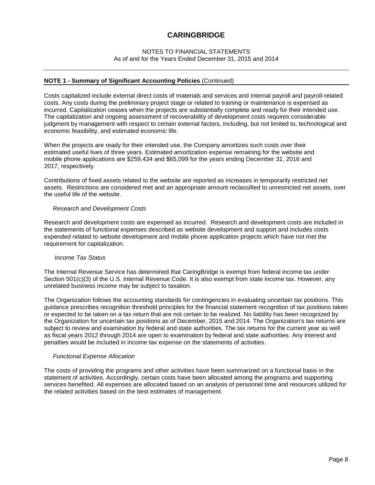### NOTES TO FINANCIAL STATEMENTS As of and for the Years Ended December 31, 2015 and 2014

### **NOTE 1 - Summary of Significant Accounting Policies** (Continued)

Costs capitalized include external direct costs of materials and services and internal payroll and payroll-related costs. Any costs during the preliminary project stage or related to training or maintenance is expensed as incurred. Capitalization ceases when the projects are substantially complete and ready for their intended use. The capitalization and ongoing assessment of recoverability of development costs requires considerable judgment by management with respect to certain external factors, including, but not limited to, technological and economic feasibility, and estimated economic life.

When the projects are ready for their intended use, the Company amortizes such costs over their estimated useful lives of three years. Estimated amortization expense remaining for the website and mobile phone applications are \$259,434 and \$65,099 for the years ending December 31, 2016 and 2017, respectively.

Contributions of fixed assets related to the website are reported as increases in temporarily restricted net assets. Restrictions are considered met and an appropriate amount reclassified to unrestricted net assets, over the useful life of the website.

### *Research and Development Costs*

Research and development costs are expensed as incurred. Research and development costs are included in the statements of functional expenses described as website development and support and includes costs expended related to website development and mobile phone application projects which have not met the requirement for capitalization.

### *Income Tax Status*

The Internal Revenue Service has determined that CaringBridge is exempt from federal income tax under Section 501(c)(3) of the U.S. Internal Revenue Code. It is also exempt from state income tax. However, any unrelated business income may be subject to taxation.

The Organization follows the accounting standards for contingencies in evaluating uncertain tax positions. This guidance prescribes recognition threshold principles for the financial statement recognition of tax positions taken or expected to be taken on a tax return that are not certain to be realized. No liability has been recognized by the Organization for uncertain tax positions as of December, 2015 and 2014. The Organization's tax returns are subject to review and examination by federal and state authorities. The tax returns for the current year as well as fiscal years 2012 through 2014 are open to examination by federal and state authorities. Any interest and penalties would be included in income tax expense on the statements of activities.

### *Functional Expense Allocation*

The costs of providing the programs and other activities have been summarized on a functional basis in the statement of activities. Accordingly, certain costs have been allocated among the programs and supporting services benefited. All expenses are allocated based on an analysis of personnel time and resources utilized for the related activities based on the best estimates of management.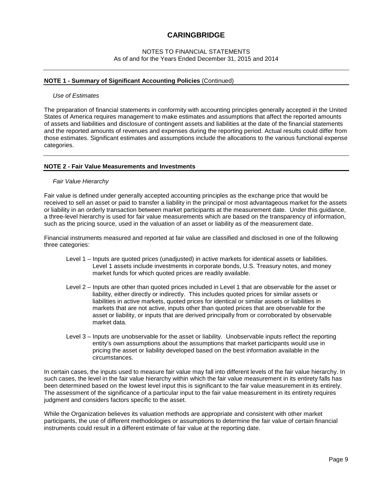### NOTES TO FINANCIAL STATEMENTS As of and for the Years Ended December 31, 2015 and 2014

### **NOTE 1 - Summary of Significant Accounting Policies** (Continued)

### *Use of Estimates*

The preparation of financial statements in conformity with accounting principles generally accepted in the United States of America requires management to make estimates and assumptions that affect the reported amounts of assets and liabilities and disclosure of contingent assets and liabilities at the date of the financial statements and the reported amounts of revenues and expenses during the reporting period. Actual results could differ from those estimates. Significant estimates and assumptions include the allocations to the various functional expense categories.

### **NOTE 2 - Fair Value Measurements and Investments**

#### *Fair Value Hierarchy*

Fair value is defined under generally accepted accounting principles as the exchange price that would be received to sell an asset or paid to transfer a liability in the principal or most advantageous market for the assets or liability in an orderly transaction between market participants at the measurement date. Under this guidance, a three-level hierarchy is used for fair value measurements which are based on the transparency of information, such as the pricing source, used in the valuation of an asset or liability as of the measurement date.

Financial instruments measured and reported at fair value are classified and disclosed in one of the following three categories:

- Level 1 Inputs are quoted prices (unadjusted) in active markets for identical assets or liabilities. Level 1 assets include investments in corporate bonds, U.S. Treasury notes, and money market funds for which quoted prices are readily available.
- Level 2 Inputs are other than quoted prices included in Level 1 that are observable for the asset or liability, either directly or indirectly. This includes quoted prices for similar assets or liabilities in active markets, quoted prices for identical or similar assets or liabilities in markets that are not active, inputs other than quoted prices that are observable for the asset or liability, or inputs that are derived principally from or corroborated by observable market data.
- Level 3 Inputs are unobservable for the asset or liability. Unobservable inputs reflect the reporting entity's own assumptions about the assumptions that market participants would use in pricing the asset or liability developed based on the best information available in the circumstances.

In certain cases, the inputs used to measure fair value may fall into different levels of the fair value hierarchy. In such cases, the level in the fair value hierarchy within which the fair value measurement in its entirety falls has been determined based on the lowest level input this is significant to the fair value measurement in its entirely. The assessment of the significance of a particular input to the fair value measurement in its entirety requires judgment and considers factors specific to the asset.

While the Organization believes its valuation methods are appropriate and consistent with other market participants, the use of different methodologies or assumptions to determine the fair value of certain financial instruments could result in a different estimate of fair value at the reporting date.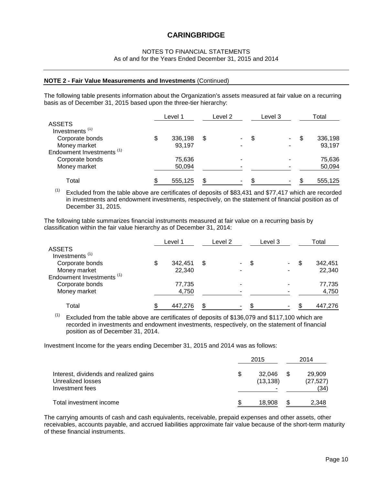### NOTES TO FINANCIAL STATEMENTS As of and for the Years Ended December 31, 2015 and 2014

### **NOTE 2 - Fair Value Measurements and Investments** (Continued)

The following table presents information about the Organization's assets measured at fair value on a recurring basis as of December 31, 2015 based upon the three-tier hierarchy:

|                                      | Level 1 | Level 2 | Level 3 |                          | Total |         |  |
|--------------------------------------|---------|---------|---------|--------------------------|-------|---------|--|
| <b>ASSETS</b>                        |         |         |         |                          |       |         |  |
| Investments <sup>(1)</sup>           |         |         |         |                          |       |         |  |
| Corporate bonds                      | 336,198 | \$      | \$      | ۰                        | S     | 336,198 |  |
| Money market                         | 93,197  |         |         | $\overline{\phantom{a}}$ |       | 93,197  |  |
| Endowment Investments <sup>(1)</sup> |         |         |         |                          |       |         |  |
| Corporate bonds                      | 75,636  |         |         | -                        |       | 75,636  |  |
| Money market                         | 50,094  |         |         | -                        |       | 50,094  |  |
| Total                                | 555,125 | -       | \$      | ۰                        |       | 555,125 |  |

 $(1)$  Excluded from the table above are certificates of deposits of \$83,431 and \$77,417 which are recorded in investments and endowment investments, respectively, on the statement of financial position as of December 31, 2015.

The following table summarizes financial instruments measured at fair value on a recurring basis by classification within the fair value hierarchy as of December 31, 2014:

|                                      | Level 1 | Level 2 |                | Level 3 |                          | Total |         |  |
|--------------------------------------|---------|---------|----------------|---------|--------------------------|-------|---------|--|
| <b>ASSETS</b>                        |         |         |                |         |                          |       |         |  |
| Investments <sup>(1)</sup>           |         |         |                |         |                          |       |         |  |
| Corporate bonds                      | 342,451 | S       | ۰.             | S       | $\sim$                   | S     | 342,451 |  |
| Money market                         | 22,340  |         | $\blacksquare$ |         | $\overline{\phantom{0}}$ |       | 22,340  |  |
| Endowment Investments <sup>(1)</sup> |         |         |                |         |                          |       |         |  |
| Corporate bonds                      | 77,735  |         | ۰              |         |                          |       | 77,735  |  |
| Money market                         | 4,750   |         | -              |         |                          |       | 4,750   |  |
|                                      |         |         |                |         |                          |       |         |  |
| Total                                | 447,276 |         | ۰              |         | ۰                        | S     | 447.276 |  |

 $(1)$  Excluded from the table above are certificates of deposits of \$136,079 and \$117,100 which are recorded in investments and endowment investments, respectively, on the statement of financial position as of December 31, 2014.

Investment Income for the years ending December 31, 2015 and 2014 was as follows:

|                                                                                |   | 2014                     |  |                             |
|--------------------------------------------------------------------------------|---|--------------------------|--|-----------------------------|
| Interest, dividends and realized gains<br>Unrealized losses<br>Investment fees | S | 32.046<br>(13, 138)<br>۰ |  | 29,909<br>(27, 527)<br>(34) |
| Total investment income                                                        | S | 18.908                   |  | 2,348                       |

The carrying amounts of cash and cash equivalents, receivable, prepaid expenses and other assets, other receivables, accounts payable, and accrued liabilities approximate fair value because of the short-term maturity of these financial instruments.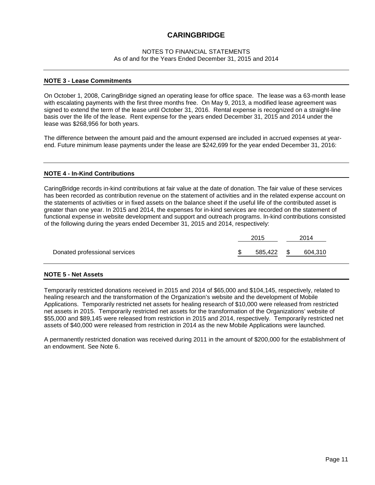### NOTES TO FINANCIAL STATEMENTS As of and for the Years Ended December 31, 2015 and 2014

### **NOTE 3 - Lease Commitments**

On October 1, 2008, CaringBridge signed an operating lease for office space. The lease was a 63-month lease with escalating payments with the first three months free. On May 9, 2013, a modified lease agreement was signed to extend the term of the lease until October 31, 2016. Rental expense is recognized on a straight-line basis over the life of the lease. Rent expense for the years ended December 31, 2015 and 2014 under the lease was \$268,956 for both years.

The difference between the amount paid and the amount expensed are included in accrued expenses at yearend. Future minimum lease payments under the lease are \$242,699 for the year ended December 31, 2016:

### **NOTE 4 - In-Kind Contributions**

CaringBridge records in-kind contributions at fair value at the date of donation. The fair value of these services has been recorded as contribution revenue on the statement of activities and in the related expense account on the statements of activities or in fixed assets on the balance sheet if the useful life of the contributed asset is greater than one year. In 2015 and 2014, the expenses for in-kind services are recorded on the statement of functional expense in website development and support and outreach programs. In-kind contributions consisted of the following during the years ended December 31, 2015 and 2014, respectively:

|                               | 2015 |            |  |         |  |
|-------------------------------|------|------------|--|---------|--|
| Donated professional services |      | 585,422 \$ |  | 604,310 |  |

### **NOTE 5 - Net Assets**

Temporarily restricted donations received in 2015 and 2014 of \$65,000 and \$104,145, respectively, related to healing research and the transformation of the Organization's website and the development of Mobile Applications. Temporarily restricted net assets for healing research of \$10,000 were released from restricted net assets in 2015. Temporarily restricted net assets for the transformation of the Organizations' website of \$55,000 and \$89,145 were released from restriction in 2015 and 2014, respectively. Temporarily restricted net assets of \$40,000 were released from restriction in 2014 as the new Mobile Applications were launched.

A permanently restricted donation was received during 2011 in the amount of \$200,000 for the establishment of an endowment. See Note 6.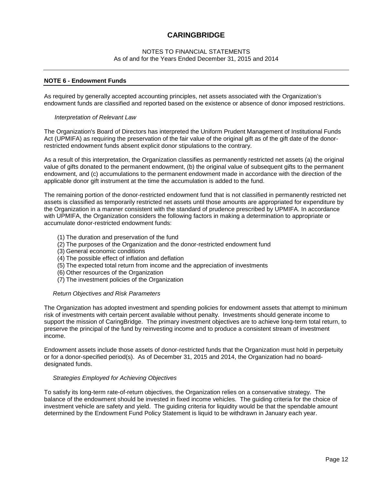### NOTES TO FINANCIAL STATEMENTS As of and for the Years Ended December 31, 2015 and 2014

### **NOTE 6 - Endowment Funds**

As required by generally accepted accounting principles, net assets associated with the Organization's endowment funds are classified and reported based on the existence or absence of donor imposed restrictions.

### *Interpretation of Relevant Law*

The Organization's Board of Directors has interpreted the Uniform Prudent Management of Institutional Funds Act (UPMIFA) as requiring the preservation of the fair value of the original gift as of the gift date of the donorrestricted endowment funds absent explicit donor stipulations to the contrary.

As a result of this interpretation, the Organization classifies as permanently restricted net assets (a) the original value of gifts donated to the permanent endowment, (b) the original value of subsequent gifts to the permanent endowment, and (c) accumulations to the permanent endowment made in accordance with the direction of the applicable donor gift instrument at the time the accumulation is added to the fund.

The remaining portion of the donor-restricted endowment fund that is not classified in permanently restricted net assets is classified as temporarily restricted net assets until those amounts are appropriated for expenditure by the Organization in a manner consistent with the standard of prudence prescribed by UPMIFA. In accordance with UPMIFA, the Organization considers the following factors in making a determination to appropriate or accumulate donor-restricted endowment funds:

- (1) The duration and preservation of the fund
- (2) The purposes of the Organization and the donor-restricted endowment fund
- (3) General economic conditions
- (4) The possible effect of inflation and deflation
- (5) The expected total return from income and the appreciation of investments
- (6) Other resources of the Organization
- (7) The investment policies of the Organization

### *Return Objectives and Risk Parameters*

The Organization has adopted investment and spending policies for endowment assets that attempt to minimum risk of investments with certain percent available without penalty. Investments should generate income to support the mission of CaringBridge. The primary investment objectives are to achieve long-term total return, to preserve the principal of the fund by reinvesting income and to produce a consistent stream of investment income.

Endowment assets include those assets of donor-restricted funds that the Organization must hold in perpetuity or for a donor-specified period(s). As of December 31, 2015 and 2014, the Organization had no boarddesignated funds.

### *Strategies Employed for Achieving Objectives*

To satisfy its long-term rate-of-return objectives, the Organization relies on a conservative strategy. The balance of the endowment should be invested in fixed income vehicles. The guiding criteria for the choice of investment vehicle are safety and yield. The guiding criteria for liquidity would be that the spendable amount determined by the Endowment Fund Policy Statement is liquid to be withdrawn in January each year.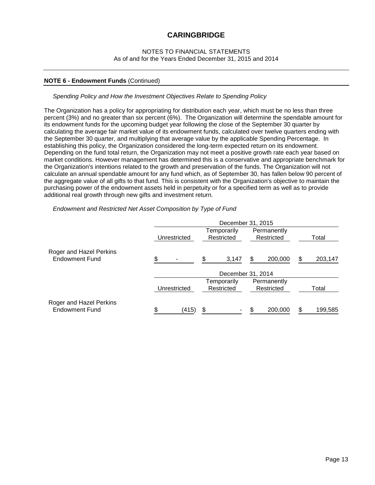### NOTES TO FINANCIAL STATEMENTS As of and for the Years Ended December 31, 2015 and 2014

### **NOTE 6 - Endowment Funds** (Continued)

### *Spending Policy and How the Investment Objectives Relate to Spending Policy*

The Organization has a policy for appropriating for distribution each year, which must be no less than three percent (3%) and no greater than six percent (6%). The Organization will determine the spendable amount for its endowment funds for the upcoming budget year following the close of the September 30 quarter by calculating the average fair market value of its endowment funds, calculated over twelve quarters ending with the September 30 quarter, and multiplying that average value by the applicable Spending Percentage. In establishing this policy, the Organization considered the long-term expected return on its endowment. Depending on the fund total return, the Organization may not meet a positive growth rate each year based on market conditions. However management has determined this is a conservative and appropriate benchmark for the Organization's intentions related to the growth and preservation of the funds. The Organization will not calculate an annual spendable amount for any fund which, as of September 30, has fallen below 90 percent of the aggregate value of all gifts to that fund. This is consistent with the Organization's objective to maintain the purchasing power of the endowment assets held in perpetuity or for a specified term as well as to provide additional real growth through new gifts and investment return.

*Endowment and Restricted Net Asset Composition by Type of Fund*

|                                                  |                   | December 31, 2015         |                           |         |  |  |  |  |  |  |  |
|--------------------------------------------------|-------------------|---------------------------|---------------------------|---------|--|--|--|--|--|--|--|
|                                                  | Unrestricted      | Temporarily<br>Restricted | Permanently<br>Restricted | Total   |  |  |  |  |  |  |  |
| Roger and Hazel Perkins<br><b>Endowment Fund</b> | \$.               | \$<br>3,147               | 200,000<br>S              | 203,147 |  |  |  |  |  |  |  |
|                                                  | December 31, 2014 |                           |                           |         |  |  |  |  |  |  |  |
|                                                  | Unrestricted      | Temporarily<br>Restricted | Permanently<br>Restricted | Total   |  |  |  |  |  |  |  |
| Roger and Hazel Perkins<br><b>Endowment Fund</b> | (415)             | \$                        | 200,000                   | 199,585 |  |  |  |  |  |  |  |